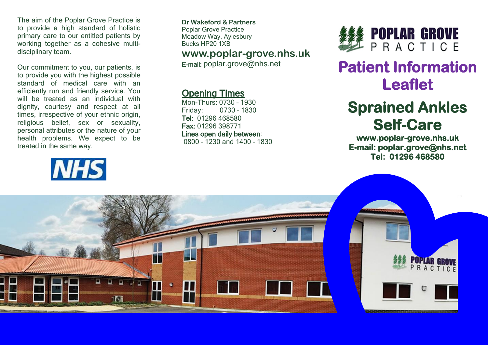The aim of the Poplar Grove Practice is to provide a high standard of holistic primary care to our entitled patients by working together as a cohesive multidisciplinary team.

Our commitment to you, our patients, is to provide you with the highest possible standard of medical care with an efficiently run and friendly service. You will be treated as an individual with dignity, courtesy and respect at all times, irrespective of your ethnic origin, religious belief, sex or sexuality, personal attributes or the nature of your health problems. We expect to be treated in the same way.



**Dr Wakeford & Partners** Poplar Grove Practice Meadow Way, Aylesbury Bucks HP20 1XB

### **www.poplar-grove.nhs.uk**

E-mail: [poplar.grove@nhs.net](mailto:poplar.grove@nhs.net)

#### Opening Times

Mon-Thurs: 0730 – 1930 Friday: 0730 – 1830 Tel: 01296 468580 Fax: 01296 398771 Lines open daily between: 0800 – 1230 and 1400 – 1830



# **Patient Information Leaflet**

# **Sprained Ankles Self-Care**

**www.poplar-grove.nhs.uk E-mail: poplar.grove@nhs.net Tel: 01296 468580**